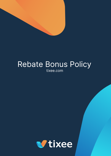

# Rebate Bonus Policy tixee.com

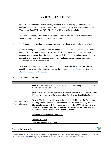# **Up to 100% REBATE BONUS**

- 1. Pipbull LTD (with the tradename 'Tixee') (hereinafter the "Company") is authorized and regulated by the Financial Services Authority in Seychelles ("FSA") under the license number SD061 located at CT House, Office No. 8A, Providence, Mahé, Seychelles.
- 2. Tixee or the Company offers up to 100% Rebate Bonus (hereinafter "the Promotion") to its clients, subject to the following terms and conditions.
- 3. This Promotion is offered on per account basis and is available to new and existing clients.
- 4. In order to be eligible to the Promotion, the clients should have already completed the steps required for the account opening process, the client's due diligence and know your client procedures are completed and the account is activated. The client also acknowledges that any information provided to the Company shall be true and accurate, act in good faith and in accordance with the Promotion rules.
- 5. By requesting to participate in this promotion the client is considered to have agreed to be bound by these terms and conditions as well as the Company's Client [Agreement](https://tixee.com/wp-content/uploads/2021/06/client-agreement.pdf) listed on <https://tixee.com/legal-documents/>

#### 6. **Promotion Conditions**

| Deposit & Rebate<br>bonus allowance | <b>Step 1:</b> The client shall make a deposit into the trading account he/she<br>maintains with the Company.                                                                                                                                                                                                                                                      |
|-------------------------------------|--------------------------------------------------------------------------------------------------------------------------------------------------------------------------------------------------------------------------------------------------------------------------------------------------------------------------------------------------------------------|
|                                     | Step 2: The client shall subscribe to Promotion on his/her online portal. Within<br>48 hours from the day of the subscription, the client shall get his/her bonus.                                                                                                                                                                                                 |
|                                     | <b>Step 3:</b> The Company will assess the client's eligibility to the Promotion<br>and only then to provide the rebate bonus into the client's trading account.<br>The rebate bonus will be amounted up to the 100% of the client's<br>deposits. The maximum rebate bonus to be offered by the Company per<br>client is set at USD 10,000 or equivalent currency. |
|                                     | Examples of rebate bonus allowance:                                                                                                                                                                                                                                                                                                                                |
|                                     | Example A - Entry                                                                                                                                                                                                                                                                                                                                                  |
|                                     | Deposited amount: USD 1000                                                                                                                                                                                                                                                                                                                                         |

## True to the market.

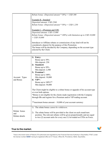| Rebate bonus: (Deposited amount $*30\%$ ) = USD 300                      |
|--------------------------------------------------------------------------|
|                                                                          |
| Example B - Standard                                                     |
| Deposited amount: USD 2500                                               |
| Rebate bonus: (Deposited amount $*50\%$ ) = USD 1,250                    |
|                                                                          |
| Example $C$ - (Premium and VIP)                                          |
| Deposited amount: USD 15,000                                             |
| Rebate bonus: (Deposited amount * 100%) with limitation up to USD 10,000 |
| $=$ USD 10,000                                                           |
|                                                                          |
| Introducer or Affiliate rebates or commissions of any kind will not be   |
| considered a deposit for the purpose of this Promotion.                  |
| The bonus will be decided by the Company, depending on the account type  |
| selected by the Client.                                                  |
|                                                                          |

|                                       | 1)<br><b>Entry:</b><br>Bonus up to 30%<br>Min deposit: 250                                                                                                                                                                                                |
|---------------------------------------|-----------------------------------------------------------------------------------------------------------------------------------------------------------------------------------------------------------------------------------------------------------|
|                                       | Standard:<br>2)<br>Bonus up to 50%<br>Min deposit: 2,500                                                                                                                                                                                                  |
|                                       | Premium*:<br>3)<br>Bonus up to 100%                                                                                                                                                                                                                       |
| Account Types<br>and Bonus            | Min deposit: 10,000<br>$VIP^*$ :<br>4)                                                                                                                                                                                                                    |
|                                       | Bonus up to $100\%$ **<br>Min deposit: 50,000                                                                                                                                                                                                             |
|                                       | The Client might be eligible to a rebate bonus or upgrade of his account type<br>or even both options.<br>*Bonus is not eligible for the clients made registration with the Company<br>through IBs and register for a Premium and/or VIP trading account. |
|                                       | ** maximum bonus amount $-10,000$ of your account currency                                                                                                                                                                                                |
|                                       | 1)<br>The rebate bonus <i>cannot be withdrawn</i> .                                                                                                                                                                                                       |
| Rebate bonus<br>and<br>Rebate details | The rebate bonus will be provided to the client on each round-turn<br>2)<br>position. The relevant rebates will be given proportionally and are equal<br>to two $(2)$ account units for every one $(1)$ lot traded on CFDs on Forex.                      |

# True to the market.

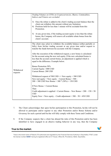|                        | Trading Volumes on CFDs on Cryptocurrencies, Shares, Commodities,<br>Indices and Futures are excluded.                                                                                                                                                                     |
|------------------------|----------------------------------------------------------------------------------------------------------------------------------------------------------------------------------------------------------------------------------------------------------------------------|
|                        | 3) Once the rebate is added in the client's trading account balance then the<br>client can withdraw this amount without any limitation.<br>4) Positions held for less than 1 minute will be excluded from this<br>Promotion.                                               |
|                        | 5) At any given time, if the trading account equity is less than the rebate<br>bonus, the Company will remove all available rebate bonus from the<br>client's account.                                                                                                     |
| Withdrawal<br>requests | The client may select to withdraw the available balance (either partially or<br>fully) from his/her trading account at any given time and/or request to<br>transfer the funds between his accounts with the Company.                                                       |
|                        | After the execution of the withdrawal request, a new bonus is calculated<br>for the account using the new real equity. If the new calculated bonus is<br>less than the account current bonus, an adjustment is applied which is<br>equal to the difference. Example below. |
|                        | Bonus Promotion 50%<br>Current Equity: 1000 USD<br><b>Current Bonus: 200 USD</b>                                                                                                                                                                                           |
|                        | Withdrawal request of 500 USD => New equity = $500$ USD<br>New real equity = New equity – Current Bonus = $500 -$<br>$200 = 300$ USD New Bonus = $300 * (50\%) = 150$ USD                                                                                                  |
|                        | If New Bonus < Current Bonus<br>Then<br>Credit adjustment is applied = Current Bonus – New Bonus = $200 - 150 = 50$                                                                                                                                                        |
|                        | <b>USD</b><br>Equity Now = New equity – Credit adjustment = $500 - 50 = 450$ USD                                                                                                                                                                                           |

- 7. The Client acknowledges that upon his/her participation to this Promotion, he/she will not be allowed to participate and/or register to any other Promotion and/or Bonus Scheme and/or Giveaway for such a period until he/she will fully comply with these Terms and Conditions.
- 8. If the Company suspects that a client has abused the rules of this Promotion and/or has been identified to have engaged in an abusive trading behavior in any way, then the Company

## True to the market.

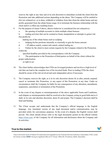reserves the right at any time and at its sole discretion to immediate exclude the client from the Promotion and take additional actions depending on the abuse. The Company will be entitled to (list not exhaustive): a) to deny, withhold or withdraw from that client the rebate bonus and any profits generated from the rebate bonus usage, b) to terminate the business relationship with the client and/or c) offset any resulting losses.

- 9. For the purpose of clause 9 above, abusive behavior is considered (list not exhaustive):
	- a. the opening of multiple accounts to claim multiple rebate bonuses

b. trading activities that can be counted as fraud, manipulation or attempts to garner risk free profits by

making use of the rebate bonus such as scalping

- c. hedging his/her positions internally or externally to gain the bonus amount
- $d.$  + IP address match, contact info match, related trading etc.
- e. Failure by the client to meet certain requests by the Company related to the Promotion within the

specified deadline provided in the correspondence with the Company

f. The participation to the Promotion of third parties on behalf of the client without the proper authorization

or right to act.

- 10. The client further acknowledges that CFDs are leveraged products and involves a high level of risk that can lead to the complete loss of his invested funds. Prior to trading CFDs the client should be aware of the risk involved and seek independent advice if necessary.
- 11. The Company reserves the right, as it in its sole discretion deems fit, to alter, amend, suspend, cancel or terminate this Promotion, or any aspect of this Promotion, at any time. Under no circumstances shall the Company be liable for any consequences of any alteration, amendment, suspension, cancelation or termination of the Promotion.
- 12. In the event of any dispute or misinterpretation of the above applicable Terms and Conditions, such dispute or misinterpretation shall be resolved as the Company acting in good faith and as it shall, in its sole and absolute discretion, deem fit and proper. The Company's decision shall be final and binding.
- 13. The Client accepts and understands that the Company's official language is the English language. Any translated version of any legal document and/or communication, may be provided solely for convenience purposes. In the event of a dispute, the English version shall prevail. The client should always refer to the legal documents posted on the official website <https://tixee.com/> of the Company for all information and disclosures about the Company and its activities.

### True to the market.